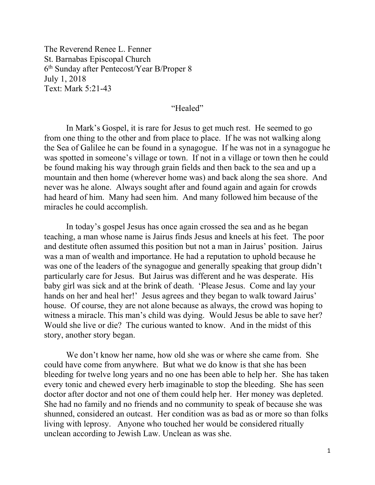The Reverend Renee L. Fenner St. Barnabas Episcopal Church 6th Sunday after Pentecost/Year B/Proper 8 July 1, 2018 Text: Mark 5:21-43

## "Healed"

 In Mark's Gospel, it is rare for Jesus to get much rest. He seemed to go from one thing to the other and from place to place. If he was not walking along the Sea of Galilee he can be found in a synagogue. If he was not in a synagogue he was spotted in someone's village or town. If not in a village or town then he could be found making his way through grain fields and then back to the sea and up a mountain and then home (wherever home was) and back along the sea shore. And never was he alone. Always sought after and found again and again for crowds had heard of him. Many had seen him. And many followed him because of the miracles he could accomplish.

 In today's gospel Jesus has once again crossed the sea and as he began teaching, a man whose name is Jairus finds Jesus and kneels at his feet. The poor and destitute often assumed this position but not a man in Jairus' position. Jairus was a man of wealth and importance. He had a reputation to uphold because he was one of the leaders of the synagogue and generally speaking that group didn't particularly care for Jesus. But Jairus was different and he was desperate. His baby girl was sick and at the brink of death. 'Please Jesus. Come and lay your hands on her and heal her!' Jesus agrees and they began to walk toward Jairus' house. Of course, they are not alone because as always, the crowd was hoping to witness a miracle. This man's child was dying. Would Jesus be able to save her? Would she live or die? The curious wanted to know. And in the midst of this story, another story began.

 We don't know her name, how old she was or where she came from. She could have come from anywhere. But what we do know is that she has been bleeding for twelve long years and no one has been able to help her. She has taken every tonic and chewed every herb imaginable to stop the bleeding. She has seen doctor after doctor and not one of them could help her. Her money was depleted. She had no family and no friends and no community to speak of because she was shunned, considered an outcast. Her condition was as bad as or more so than folks living with leprosy. Anyone who touched her would be considered ritually unclean according to Jewish Law. Unclean as was she.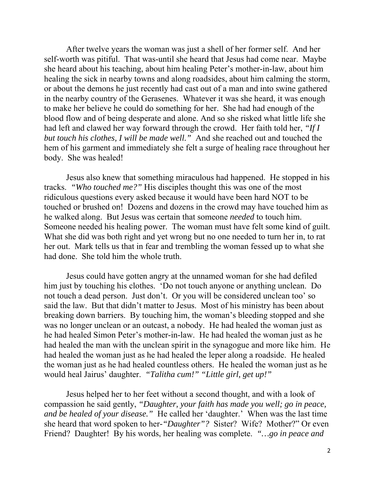After twelve years the woman was just a shell of her former self. And her self-worth was pitiful. That was-until she heard that Jesus had come near. Maybe she heard about his teaching, about him healing Peter's mother-in-law, about him healing the sick in nearby towns and along roadsides, about him calming the storm, or about the demons he just recently had cast out of a man and into swine gathered in the nearby country of the Gerasenes. Whatever it was she heard, it was enough to make her believe he could do something for her. She had had enough of the blood flow and of being desperate and alone. And so she risked what little life she had left and clawed her way forward through the crowd. Her faith told her, *"If I but touch his clothes, I will be made well."* And she reached out and touched the hem of his garment and immediately she felt a surge of healing race throughout her body. She was healed!

Jesus also knew that something miraculous had happened. He stopped in his tracks. *"Who touched me?"* His disciples thought this was one of the most ridiculous questions every asked because it would have been hard NOT to be touched or brushed on! Dozens and dozens in the crowd may have touched him as he walked along. But Jesus was certain that someone *needed* to touch him. Someone needed his healing power. The woman must have felt some kind of guilt. What she did was both right and yet wrong but no one needed to turn her in, to rat her out. Mark tells us that in fear and trembling the woman fessed up to what she had done. She told him the whole truth.

Jesus could have gotten angry at the unnamed woman for she had defiled him just by touching his clothes. 'Do not touch anyone or anything unclean. Do not touch a dead person. Just don't. Or you will be considered unclean too' so said the law. But that didn't matter to Jesus. Most of his ministry has been about breaking down barriers. By touching him, the woman's bleeding stopped and she was no longer unclean or an outcast, a nobody. He had healed the woman just as he had healed Simon Peter's mother-in-law. He had healed the woman just as he had healed the man with the unclean spirit in the synagogue and more like him. He had healed the woman just as he had healed the leper along a roadside. He healed the woman just as he had healed countless others. He healed the woman just as he would heal Jairus' daughter. *"Talitha cum!" "Little girl, get up!"* 

Jesus helped her to her feet without a second thought, and with a look of compassion he said gently, *"Daughter, your faith has made you well; go in peace, and be healed of your disease."* He called her 'daughter.' When was the last time she heard that word spoken to her*-"Daughter"?* Sister? Wife? Mother?" Or even Friend? Daughter! By his words, her healing was complete. *"…go in peace and*